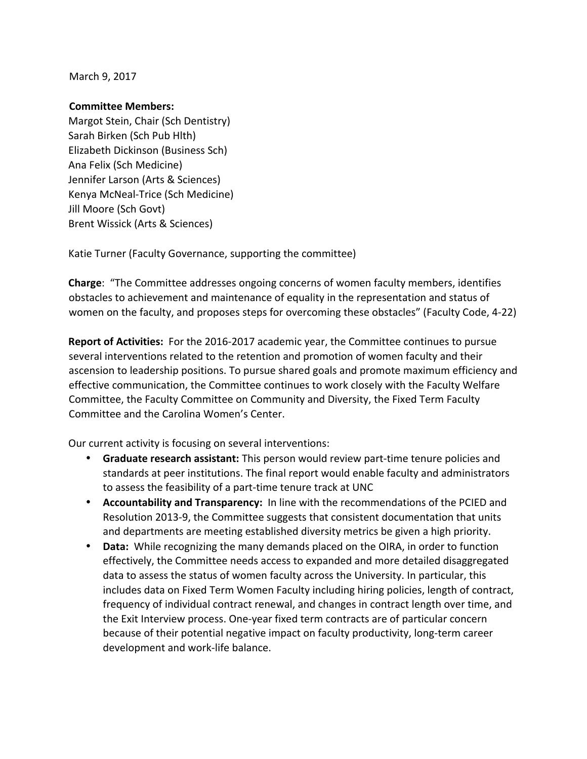March 9, 2017

## **Committee Members:**

Margot Stein, Chair (Sch Dentistry) Sarah Birken (Sch Pub Hlth) Elizabeth Dickinson (Business Sch) Ana Felix (Sch Medicine) Jennifer Larson (Arts & Sciences) Kenya McNeal-Trice (Sch Medicine) Jill Moore (Sch Govt) Brent Wissick (Arts & Sciences)

Katie Turner (Faculty Governance, supporting the committee)

**Charge:** "The Committee addresses ongoing concerns of women faculty members, identifies obstacles to achievement and maintenance of equality in the representation and status of women on the faculty, and proposes steps for overcoming these obstacles" (Faculty Code, 4-22)

**Report of Activities:** For the 2016-2017 academic year, the Committee continues to pursue several interventions related to the retention and promotion of women faculty and their ascension to leadership positions. To pursue shared goals and promote maximum efficiency and effective communication, the Committee continues to work closely with the Faculty Welfare Committee, the Faculty Committee on Community and Diversity, the Fixed Term Faculty Committee and the Carolina Women's Center.

Our current activity is focusing on several interventions:

- Graduate research assistant: This person would review part-time tenure policies and standards at peer institutions. The final report would enable faculty and administrators to assess the feasibility of a part-time tenure track at UNC
- **Accountability and Transparency:** In line with the recommendations of the PCIED and Resolution 2013-9, the Committee suggests that consistent documentation that units and departments are meeting established diversity metrics be given a high priority.
- **Data:** While recognizing the many demands placed on the OIRA, in order to function effectively, the Committee needs access to expanded and more detailed disaggregated data to assess the status of women faculty across the University. In particular, this includes data on Fixed Term Women Faculty including hiring policies, length of contract, frequency of individual contract renewal, and changes in contract length over time, and the Exit Interview process. One-year fixed term contracts are of particular concern because of their potential negative impact on faculty productivity, long-term career development and work-life balance.